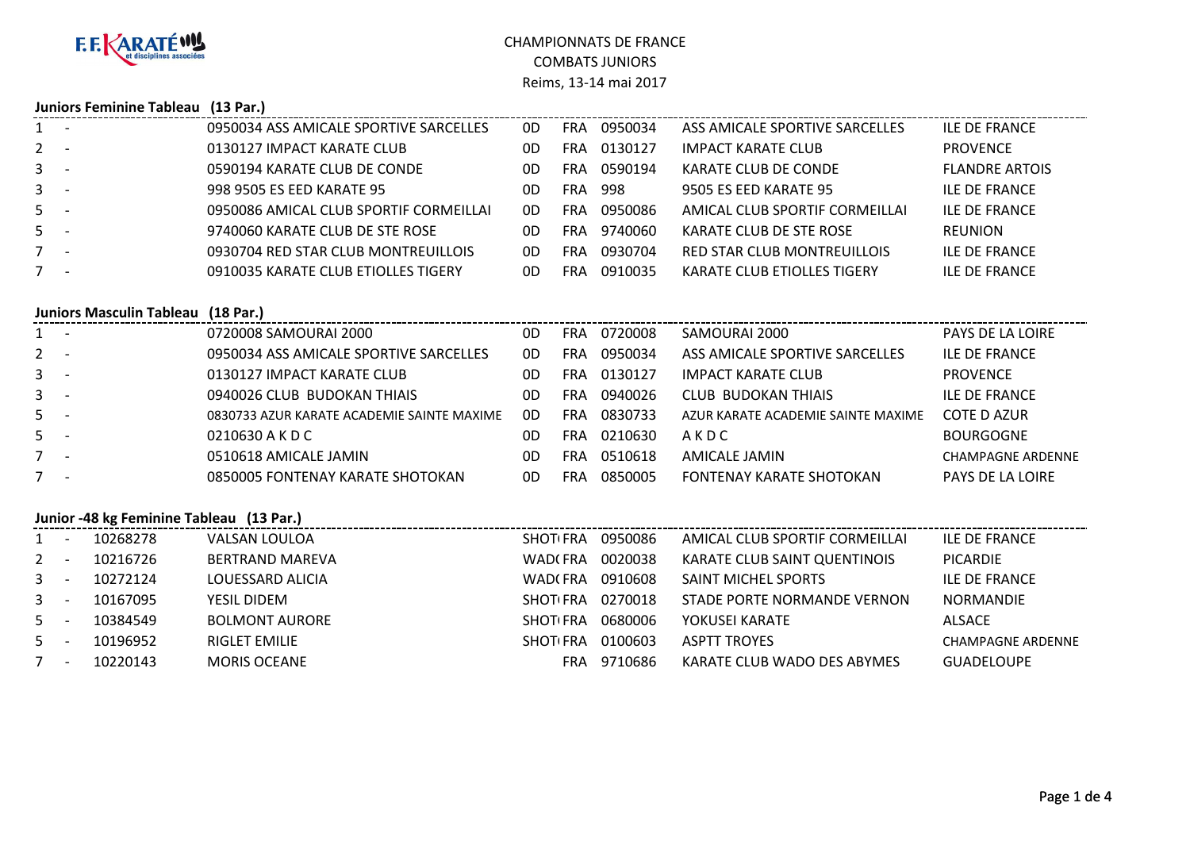

## CHAMPIONNATS DE FRANCECOMBATS JUNIORSReims, 13-14 mai 2017

## **Juniors Feminine Tableau (13 Par.)**

|                |                                 | 0950034 ASS AMICALE SPORTIVE SARCELLES     | OD.            | FRA        | 0950034 | ASS AMICALE SPORTIVE SARCELLES     | <b>ILE DE FRANCE</b>     |
|----------------|---------------------------------|--------------------------------------------|----------------|------------|---------|------------------------------------|--------------------------|
| $2^{\circ}$    |                                 | 0130127 IMPACT KARATE CLUB                 | 0D             | <b>FRA</b> | 0130127 | <b>IMPACT KARATE CLUB</b>          | <b>PROVENCE</b>          |
| 3              |                                 | 0590194 KARATE CLUB DE CONDE               | 0 <sub>D</sub> | <b>FRA</b> | 0590194 | KARATE CLUB DE CONDE               | <b>FLANDRE ARTOIS</b>    |
| 3              |                                 | 998 9505 ES EED KARATE 95                  | 0D             | <b>FRA</b> | 998     | 9505 ES EED KARATE 95              | <b>ILE DE FRANCE</b>     |
| 5              |                                 | 0950086 AMICAL CLUB SPORTIF CORMEILLAI     | OD.            | <b>FRA</b> | 0950086 | AMICAL CLUB SPORTIF CORMEILLAI     | <b>ILE DE FRANCE</b>     |
| 5              |                                 | 9740060 KARATE CLUB DE STE ROSE            | 0D             | FRA        | 9740060 | KARATE CLUB DE STE ROSE            | <b>REUNION</b>           |
| $7 -$          |                                 | 0930704 RED STAR CLUB MONTREUILLOIS        | 0D             | FRA        | 0930704 | RED STAR CLUB MONTREUILLOIS        | <b>ILE DE FRANCE</b>     |
| $7^{\circ}$    | $\overline{\phantom{a}}$        | 0910035 KARATE CLUB ETIOLLES TIGERY        | OD.            | FRA        | 0910035 | KARATE CLUB ETIOLLES TIGERY        | <b>ILE DE FRANCE</b>     |
|                |                                 |                                            |                |            |         |                                    |                          |
|                |                                 |                                            |                |            |         |                                    |                          |
|                | <b>Juniors Masculin Tableau</b> | $(18$ Par.)                                |                |            |         |                                    |                          |
| $1 -$          |                                 | 0720008 SAMOURAI 2000                      | OD.            | FRA        | 0720008 | SAMOURAI 2000                      | <b>PAYS DE LA LOIRE</b>  |
| $2^{\circ}$    |                                 | 0950034 ASS AMICALE SPORTIVE SARCELLES     | OD.            | <b>FRA</b> | 0950034 | ASS AMICALE SPORTIVE SARCELLES     | <b>ILE DE FRANCE</b>     |
| 3              |                                 | 0130127 IMPACT KARATE CLUB                 | 0D             | <b>FRA</b> | 0130127 | <b>IMPACT KARATE CLUB</b>          | <b>PROVENCE</b>          |
| 3              |                                 | 0940026 CLUB BUDOKAN THIAIS                | 0D             | <b>FRA</b> | 0940026 | <b>CLUB BUDOKAN THIAIS</b>         | <b>ILE DE FRANCE</b>     |
| 5              |                                 | 0830733 AZUR KARATE ACADEMIE SAINTE MAXIME | 0D             | <b>FRA</b> | 0830733 | AZUR KARATE ACADEMIE SAINTE MAXIME | <b>COTE D AZUR</b>       |
| 5 <sub>1</sub> |                                 | 0210630 A K D C                            | 0D             | <b>FRA</b> | 0210630 | AKDC                               | <b>BOURGOGNE</b>         |
| $7 -$          |                                 | 0510618 AMICALE JAMIN                      | 0D             | <b>FRA</b> | 0510618 | AMICALE JAMIN                      | <b>CHAMPAGNE ARDENNE</b> |
| $7^{\circ}$    |                                 | 0850005 FONTENAY KARATE SHOTOKAN           | 0D             | <b>FRA</b> | 0850005 | FONTENAY KARATE SHOTOKAN           | <b>PAYS DE LA LOIRE</b>  |

## **Junior -48 kg Feminine Tableau (13 Par.)**

|              |                          | 10268278 | VALSAN LOULOA          | <b>SHOTIFRA</b> | 0950086 | AMICAL CLUB SPORTIF CORMEILLAI | <b>ILE DE FRANCE</b>     |
|--------------|--------------------------|----------|------------------------|-----------------|---------|--------------------------------|--------------------------|
| $2 -$        |                          | 10216726 | <b>BERTRAND MAREVA</b> | WAD(FRA         | 0020038 | KARATE CLUB SAINT QUENTINOIS   | <b>PICARDIE</b>          |
| $3^{\circ}$  |                          | 10272124 | LOUESSARD ALICIA       | WAD(FRA         | 0910608 | <b>SAINT MICHEL SPORTS</b>     | <b>ILE DE FRANCE</b>     |
| $\mathbf{3}$ |                          | 10167095 | YESIL DIDEM            | <b>SHOTLERA</b> | 0270018 | STADE PORTE NORMANDE VERNON    | <b>NORMANDIE</b>         |
| $5 -$        |                          | 10384549 | <b>BOLMONT AURORE</b>  | <b>SHOTLERA</b> | 0680006 | YOKUSEI KARATE                 | ALSACE                   |
| $5 -$        |                          | 10196952 | RIGLET EMILIE          | <b>SHOTLERA</b> | 0100603 | <b>ASPTT TROYES</b>            | <b>CHAMPAGNE ARDENNE</b> |
|              | $\overline{\phantom{a}}$ | 10220143 | <b>MORIS OCEANE</b>    | FRA             | 9710686 | KARATE CLUB WADO DES ABYMES    | <b>GUADELOUPE</b>        |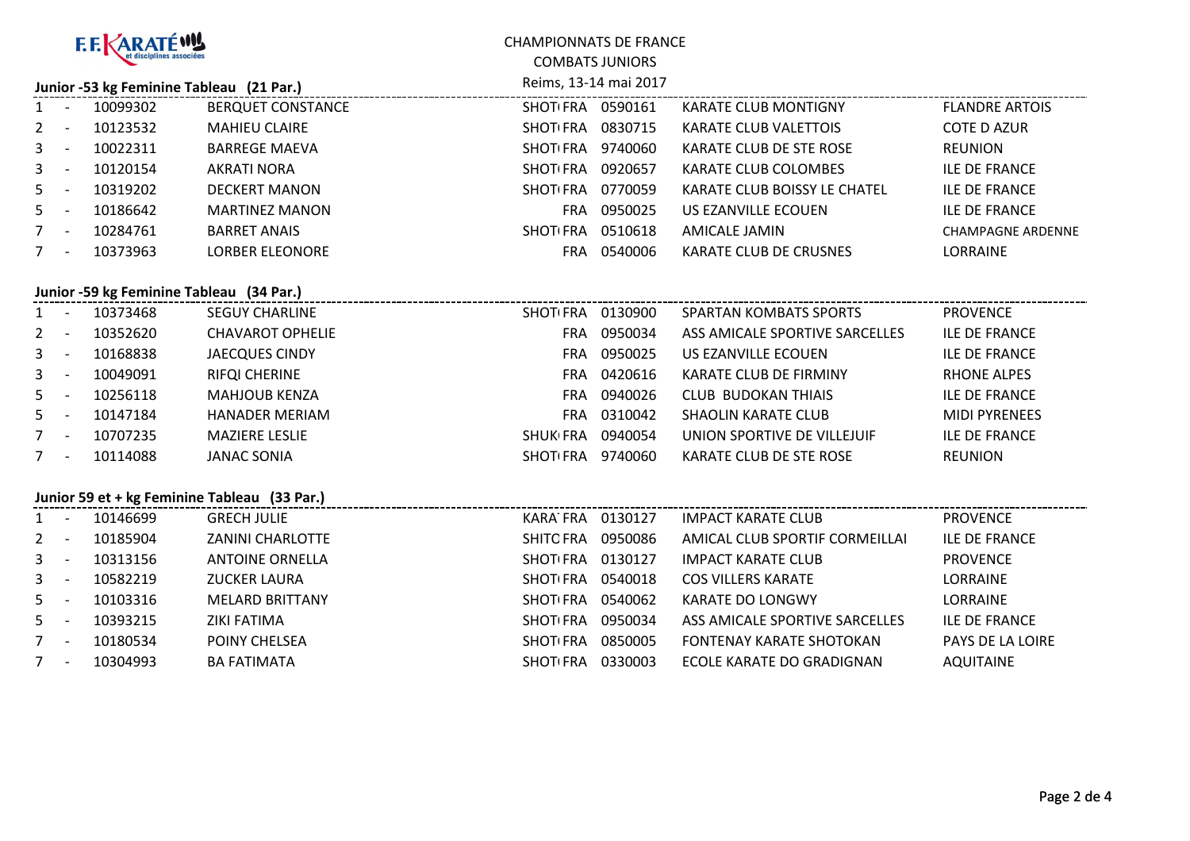| <b>F.F. KARATÉWA</b>                     |                          |          |                                              | <b>CHAMPIONNATS DE FRANCE</b> |                        |                                 |                          |  |
|------------------------------------------|--------------------------|----------|----------------------------------------------|-------------------------------|------------------------|---------------------------------|--------------------------|--|
|                                          |                          |          |                                              |                               | <b>COMBATS JUNIORS</b> |                                 |                          |  |
| Junior -53 kg Feminine Tableau (21 Par.) |                          |          |                                              |                               | Reims, 13-14 mai 2017  |                                 |                          |  |
| 1                                        | $\sim$                   | 10099302 | <b>BERQUET CONSTANCE</b>                     | SHOT(FRA 0590161              |                        | <b>KARATE CLUB MONTIGNY</b>     | <b>FLANDRE ARTOIS</b>    |  |
| $\mathbf{2}$                             | $\sim$                   | 10123532 | <b>MAHIEU CLAIRE</b>                         | SHOT(FRA 0830715              |                        | KARATE CLUB VALETTOIS           | <b>COTE D AZUR</b>       |  |
| 3                                        | $\sim$                   | 10022311 | <b>BARREGE MAEVA</b>                         | SHOT(FRA 9740060              |                        | KARATE CLUB DE STE ROSE         | <b>REUNION</b>           |  |
| 3                                        | $\overline{a}$           | 10120154 | <b>AKRATI NORA</b>                           | SHOT FRA 0920657              |                        | KARATE CLUB COLOMBES            | <b>ILE DE FRANCE</b>     |  |
| 5                                        | $\overline{\phantom{a}}$ | 10319202 | <b>DECKERT MANON</b>                         | SHOT(FRA 0770059              |                        | KARATE CLUB BOISSY LE CHATEL    | <b>ILE DE FRANCE</b>     |  |
| 5                                        | $\sim$                   | 10186642 | <b>MARTINEZ MANON</b>                        |                               | FRA 0950025            | US EZANVILLE ECOUEN             | <b>ILE DE FRANCE</b>     |  |
| 7 <sup>7</sup>                           | $\sim$ $-$               | 10284761 | <b>BARRET ANAIS</b>                          | SHOT(FRA 0510618              |                        | <b>AMICALE JAMIN</b>            | <b>CHAMPAGNE ARDENNE</b> |  |
| $7 -$                                    |                          | 10373963 | <b>LORBER ELEONORE</b>                       |                               | FRA 0540006            | KARATE CLUB DE CRUSNES          | LORRAINE                 |  |
|                                          |                          |          |                                              |                               |                        |                                 |                          |  |
|                                          |                          |          | Junior -59 kg Feminine Tableau (34 Par.)     |                               |                        |                                 |                          |  |
| $\mathbf{1}$                             | $\sim$ $-$               | 10373468 | <b>SEGUY CHARLINE</b>                        | SHOT(FRA 0130900              |                        | <b>SPARTAN KOMBATS SPORTS</b>   | <b>PROVENCE</b>          |  |
| $\overline{2}$                           | $\sim$ $-$               | 10352620 | <b>CHAVAROT OPHELIE</b>                      |                               | FRA 0950034            | ASS AMICALE SPORTIVE SARCELLES  | <b>ILE DE FRANCE</b>     |  |
| 3                                        | $\sim$                   | 10168838 | <b>JAECQUES CINDY</b>                        |                               | FRA 0950025            | US EZANVILLE ECOUEN             | <b>ILE DE FRANCE</b>     |  |
| 3                                        | $\sim$ $-$               | 10049091 | <b>RIFQI CHERINE</b>                         |                               | FRA 0420616            | KARATE CLUB DE FIRMINY          | <b>RHONE ALPES</b>       |  |
| 5                                        | $\sim$                   | 10256118 | <b>MAHJOUB KENZA</b>                         |                               | FRA 0940026            | <b>CLUB BUDOKAN THIAIS</b>      | <b>ILE DE FRANCE</b>     |  |
| 5                                        | $\sim$                   | 10147184 | <b>HANADER MERIAM</b>                        | <b>FRA</b>                    | 0310042                | <b>SHAOLIN KARATE CLUB</b>      | <b>MIDI PYRENEES</b>     |  |
| $\overline{7}$                           | $\sim$ $-$               | 10707235 | <b>MAZIERE LESLIE</b>                        | SHUK FRA 0940054              |                        | UNION SPORTIVE DE VILLEJUIF     | <b>ILE DE FRANCE</b>     |  |
| $7 -$                                    |                          | 10114088 | <b>JANAC SONIA</b>                           | SHOT(FRA 9740060              |                        | KARATE CLUB DE STE ROSE         | <b>REUNION</b>           |  |
|                                          |                          |          |                                              |                               |                        |                                 |                          |  |
|                                          |                          |          | Junior 59 et + kg Feminine Tableau (33 Par.) |                               |                        |                                 |                          |  |
| 1                                        |                          | 10146699 | <b>GRECH JULIE</b>                           | KARA FRA 0130127              |                        | <b>IMPACT KARATE CLUB</b>       | <b>PROVENCE</b>          |  |
| $\overline{2}$                           | $\sim$                   | 10185904 | <b>ZANINI CHARLOTTE</b>                      | SHITO FRA 0950086             |                        | AMICAL CLUB SPORTIF CORMEILLAI  | <b>ILE DE FRANCE</b>     |  |
| 3                                        | $\sim$                   | 10313156 | <b>ANTOINE ORNELLA</b>                       | SHOT FRA 0130127              |                        | <b>IMPACT KARATE CLUB</b>       | <b>PROVENCE</b>          |  |
| 3                                        | $\sim$                   | 10582219 | <b>ZUCKER LAURA</b>                          | SHOT(FRA 0540018              |                        | <b>COS VILLERS KARATE</b>       | LORRAINE                 |  |
| 5                                        | $\overline{a}$           | 10103316 | <b>MELARD BRITTANY</b>                       | SHOT FRA 0540062              |                        | <b>KARATE DO LONGWY</b>         | LORRAINE                 |  |
| 5                                        | $\sim$                   | 10393215 | <b>ZIKI FATIMA</b>                           | SHOT FRA 0950034              |                        | ASS AMICALE SPORTIVE SARCELLES  | <b>ILE DE FRANCE</b>     |  |
| $\overline{7}$                           | $\sim$                   | 10180534 | POINY CHELSEA                                | SHOT(FRA 0850005              |                        | <b>FONTENAY KARATE SHOTOKAN</b> | PAYS DE LA LOIRE         |  |
| $7 -$                                    |                          | 10304993 | <b>BA FATIMATA</b>                           | SHOT(FRA 0330003              |                        | ECOLE KARATE DO GRADIGNAN       | <b>AQUITAINE</b>         |  |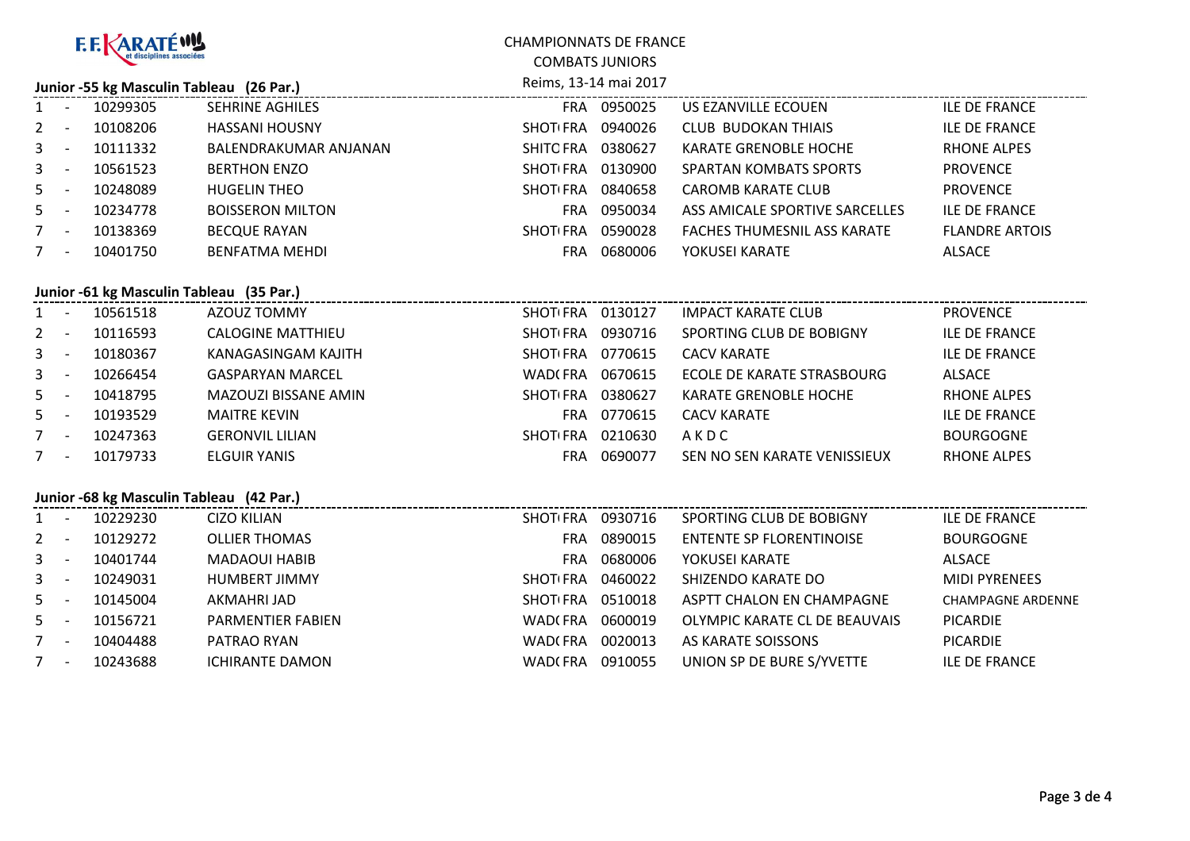| <b>F.F. KARATÉWY</b>                     |                          |          |                                          | <b>CHAMPIONNATS DE FRANCE</b> |                        |                                    |                          |  |
|------------------------------------------|--------------------------|----------|------------------------------------------|-------------------------------|------------------------|------------------------------------|--------------------------|--|
|                                          |                          |          |                                          |                               | <b>COMBATS JUNIORS</b> |                                    |                          |  |
| Junior -55 kg Masculin Tableau (26 Par.) |                          |          |                                          |                               | Reims, 13-14 mai 2017  |                                    |                          |  |
| $\mathbf{1}$                             |                          | 10299305 | SEHRINE AGHILES                          |                               | FRA 0950025            | US EZANVILLE ECOUEN                | <b>ILE DE FRANCE</b>     |  |
| $\overline{2}$                           | $\sim$                   | 10108206 | <b>HASSANI HOUSNY</b>                    | SHOT(FRA 0940026              |                        | <b>CLUB BUDOKAN THIAIS</b>         | <b>ILE DE FRANCE</b>     |  |
| 3                                        | $\sim$                   | 10111332 | BALENDRAKUMAR ANJANAN                    | SHITOFRA 0380627              |                        | KARATE GRENOBLE HOCHE              | <b>RHONE ALPES</b>       |  |
| 3                                        | $\sim$                   | 10561523 | <b>BERTHON ENZO</b>                      | SHOT(FRA 0130900              |                        | <b>SPARTAN KOMBATS SPORTS</b>      | <b>PROVENCE</b>          |  |
| 5                                        | $\sim$                   | 10248089 | <b>HUGELIN THEO</b>                      | SHOT(FRA 0840658              |                        | <b>CAROMB KARATE CLUB</b>          | <b>PROVENCE</b>          |  |
| 5                                        | $\sim$                   | 10234778 | <b>BOISSERON MILTON</b>                  |                               | FRA 0950034            | ASS AMICALE SPORTIVE SARCELLES     | <b>ILE DE FRANCE</b>     |  |
| $7\overline{ }$                          | $\sim$ $-$               | 10138369 | <b>BECQUE RAYAN</b>                      | SHOT FRA 0590028              |                        | <b>FACHES THUMESNIL ASS KARATE</b> | <b>FLANDRE ARTOIS</b>    |  |
| $7 -$                                    |                          | 10401750 | <b>BENFATMA MEHDI</b>                    |                               | FRA 0680006            | YOKUSEI KARATE                     | <b>ALSACE</b>            |  |
|                                          |                          |          |                                          |                               |                        |                                    |                          |  |
|                                          |                          |          | Junior -61 kg Masculin Tableau (35 Par.) |                               |                        |                                    |                          |  |
| $\mathbf{1}$                             | $\sim$                   | 10561518 | AZOUZ TOMMY                              | SHOT(FRA 0130127              |                        | <b>IMPACT KARATE CLUB</b>          | <b>PROVENCE</b>          |  |
| $\overline{2}$                           | $\sim$ $-$               | 10116593 | <b>CALOGINE MATTHIEU</b>                 | SHOT(FRA 0930716              |                        | SPORTING CLUB DE BOBIGNY           | <b>ILE DE FRANCE</b>     |  |
| 3                                        | $\sim$ $-$               | 10180367 | KANAGASINGAM KAJITH                      | SHOT FRA 0770615              |                        | <b>CACV KARATE</b>                 | <b>ILE DE FRANCE</b>     |  |
| 3                                        | $\sim$                   | 10266454 | <b>GASPARYAN MARCEL</b>                  | WAD(FRA 0670615               |                        | ECOLE DE KARATE STRASBOURG         | ALSACE                   |  |
| 5                                        | $\sim$                   | 10418795 | MAZOUZI BISSANE AMIN                     | SHOT(FRA 0380627              |                        | <b>KARATE GRENOBLE HOCHE</b>       | <b>RHONE ALPES</b>       |  |
| 5                                        | $\sim$                   | 10193529 | <b>MAITRE KEVIN</b>                      |                               | FRA 0770615            | <b>CACV KARATE</b>                 | <b>ILE DE FRANCE</b>     |  |
| $7\overline{ }$                          | $\sim$ $-$               | 10247363 | <b>GERONVIL LILIAN</b>                   | SHOT(FRA 0210630              |                        | AKDC                               | <b>BOURGOGNE</b>         |  |
| $7 -$                                    |                          | 10179733 | <b>ELGUIR YANIS</b>                      |                               | FRA 0690077            | SEN NO SEN KARATE VENISSIEUX       | <b>RHONE ALPES</b>       |  |
|                                          |                          |          |                                          |                               |                        |                                    |                          |  |
|                                          |                          |          | Junior -68 kg Masculin Tableau (42 Par.) |                               |                        |                                    |                          |  |
| $\mathbf{1}$                             | $\overline{\phantom{a}}$ | 10229230 | <b>CIZO KILIAN</b>                       | SHOT(FRA 0930716              |                        | SPORTING CLUB DE BOBIGNY           | <b>ILE DE FRANCE</b>     |  |
| 2                                        | $\sim$                   | 10129272 | <b>OLLIER THOMAS</b>                     |                               | FRA 0890015            | <b>ENTENTE SP FLORENTINOISE</b>    | <b>BOURGOGNE</b>         |  |
| 3                                        | $\sim$ $-$               | 10401744 | <b>MADAOUI HABIB</b>                     | <b>FRA</b>                    | 0680006                | YOKUSEI KARATE                     | <b>ALSACE</b>            |  |
| 3                                        | $\sim$                   | 10249031 | <b>HUMBERT JIMMY</b>                     | <b>SHOTIFRA</b>               | 0460022                | SHIZENDO KARATE DO                 | <b>MIDI PYRENEES</b>     |  |
| 5                                        | $\sim$                   | 10145004 | AKMAHRI JAD                              | SHOT(FRA 0510018              |                        | ASPTT CHALON EN CHAMPAGNE          | <b>CHAMPAGNE ARDENNE</b> |  |
| 5                                        | $\overline{a}$           | 10156721 | PARMENTIER FABIEN                        | WAD(FRA 0600019               |                        | OLYMPIC KARATE CL DE BEAUVAIS      | <b>PICARDIE</b>          |  |
| $\overline{7}$                           | $\sim$                   | 10404488 | PATRAO RYAN                              | WAD(FRA 0020013               |                        | AS KARATE SOISSONS                 | <b>PICARDIE</b>          |  |
| $7 -$                                    |                          | 10243688 | <b>ICHIRANTE DAMON</b>                   | WAD(FRA 0910055               |                        | UNION SP DE BURE S/YVETTE          | <b>ILE DE FRANCE</b>     |  |